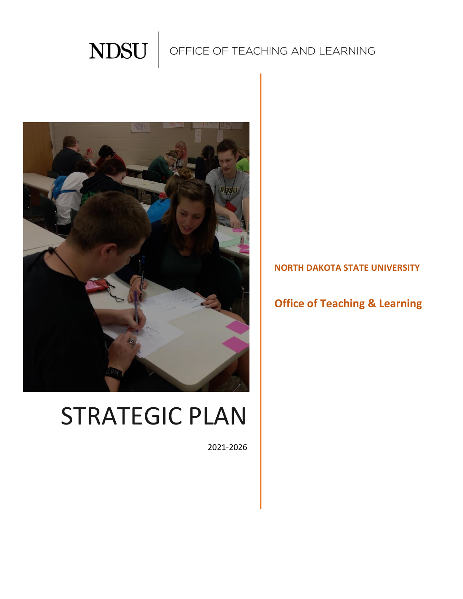

## OFFICE OF TEACHING AND LEARNING



# STRATEGIC PLAN

2021-2026

**NORTH DAKOTA STATE UNIVERSITY**

## **Office of Teaching & Learning**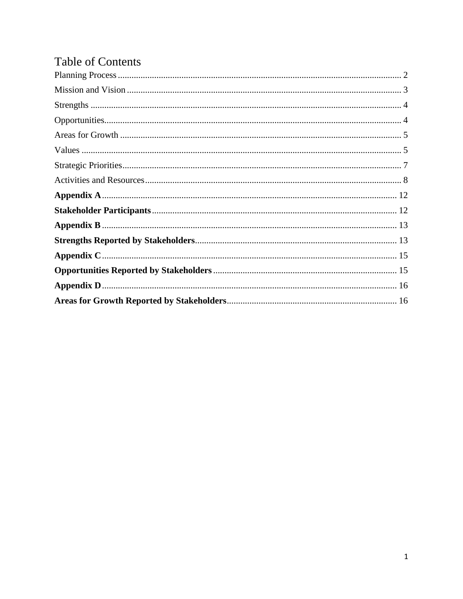## **Table of Contents**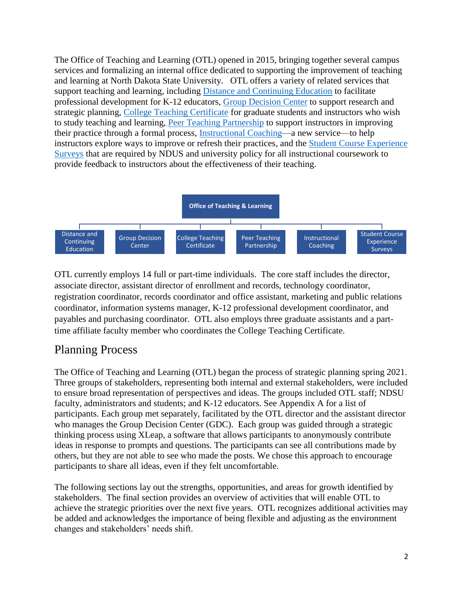The Office of Teaching and Learning (OTL) opened in 2015, bringing together several campus services and formalizing an internal office dedicated to supporting the improvement of teaching and learning at North Dakota State University. OTL offers a variety of related services that support teaching and learning, including [Distance and Continuing Education](https://www.ndsu.edu/dce/) to facilitate professional development for K-12 educators, [Group Decision Center](https://www.ndsu.edu/gdc/) to support research and strategic planning, [College Teaching Certificate](https://www.ndsu.edu/otl/programs/college_teaching_certificate/) for graduate students and instructors who wish to study teaching and learning, [Peer Teaching Partnership](https://www.ndsu.edu/otl/programs/peer_teaching_partnership/) to support instructors in improving their practice through a formal process, [Instructional Coaching—](https://www.ndsu.edu/otl/programs/instructional_coaching/)a new service—to help instructors explore ways to improve or refresh their practices, and the [Student Course Experience](https://www.ndsu.edu/gdc/qualtrics/student_rating_of_instruction_srois/)  [Surveys](https://www.ndsu.edu/gdc/qualtrics/student_rating_of_instruction_srois/) that are required by NDUS and university policy for all instructional coursework to provide feedback to instructors about the effectiveness of their teaching.



OTL currently employs 14 full or part-time individuals. The core staff includes the director, associate director, assistant director of enrollment and records, technology coordinator, registration coordinator, records coordinator and office assistant, marketing and public relations coordinator, information systems manager, K-12 professional development coordinator, and payables and purchasing coordinator. OTL also employs three graduate assistants and a parttime affiliate faculty member who coordinates the College Teaching Certificate.

## <span id="page-2-0"></span>Planning Process

The Office of Teaching and Learning (OTL) began the process of strategic planning spring 2021. Three groups of stakeholders, representing both internal and external stakeholders, were included to ensure broad representation of perspectives and ideas. The groups included OTL staff; NDSU faculty, administrators and students; and K-12 educators. See Appendix A for a list of participants. Each group met separately, facilitated by the OTL director and the assistant director who manages the Group Decision Center (GDC). Each group was guided through a strategic thinking process using XLeap, a software that allows participants to anonymously contribute ideas in response to prompts and questions. The participants can see all contributions made by others, but they are not able to see who made the posts. We chose this approach to encourage participants to share all ideas, even if they felt uncomfortable.

The following sections lay out the strengths, opportunities, and areas for growth identified by stakeholders. The final section provides an overview of activities that will enable OTL to achieve the strategic priorities over the next five years. OTL recognizes additional activities may be added and acknowledges the importance of being flexible and adjusting as the environment changes and stakeholders' needs shift.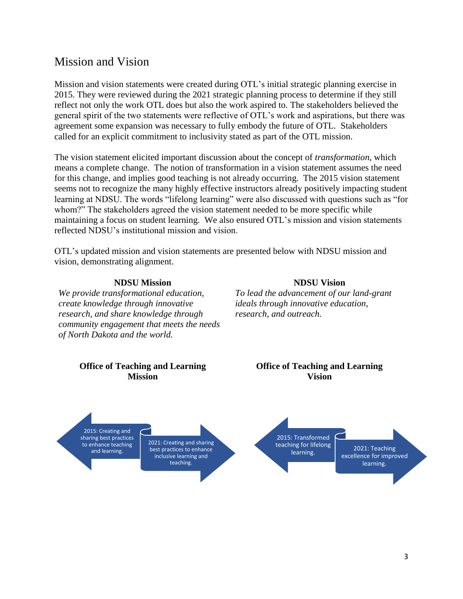## <span id="page-3-0"></span>Mission and Vision

Mission and vision statements were created during OTL's initial strategic planning exercise in 2015. They were reviewed during the 2021 strategic planning process to determine if they still reflect not only the work OTL does but also the work aspired to. The stakeholders believed the general spirit of the two statements were reflective of OTL's work and aspirations, but there was agreement some expansion was necessary to fully embody the future of OTL. Stakeholders called for an explicit commitment to inclusivity stated as part of the OTL mission.

The vision statement elicited important discussion about the concept of *transformation*, which means a complete change. The notion of transformation in a vision statement assumes the need for this change, and implies good teaching is not already occurring. The 2015 vision statement seems not to recognize the many highly effective instructors already positively impacting student learning at NDSU. The words "lifelong learning" were also discussed with questions such as "for whom?" The stakeholders agreed the vision statement needed to be more specific while maintaining a focus on student learning. We also ensured OTL's mission and vision statements reflected NDSU's institutional mission and vision.

OTL's updated mission and vision statements are presented below with NDSU mission and vision, demonstrating alignment.

#### **NDSU Mission**

*We provide transformational education, create knowledge through innovative research, and share knowledge through community engagement that meets the needs of North Dakota and the world.* 

**NDSU Vision** *To lead the advancement of our land-grant ideals through innovative education, research, and outreach.*

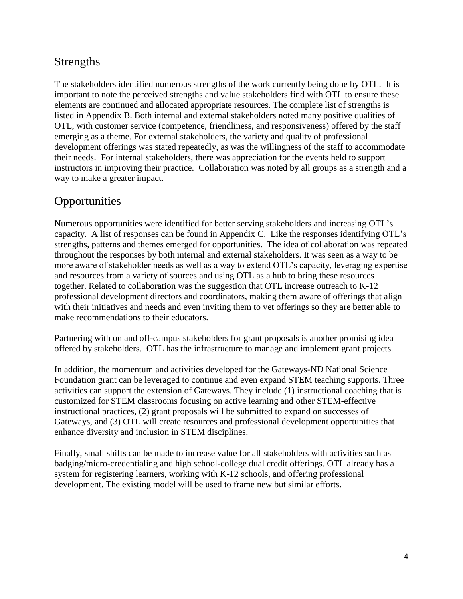## <span id="page-4-0"></span>Strengths

The stakeholders identified numerous strengths of the work currently being done by OTL. It is important to note the perceived strengths and value stakeholders find with OTL to ensure these elements are continued and allocated appropriate resources. The complete list of strengths is listed in Appendix B. Both internal and external stakeholders noted many positive qualities of OTL, with customer service (competence, friendliness, and responsiveness) offered by the staff emerging as a theme. For external stakeholders, the variety and quality of professional development offerings was stated repeatedly, as was the willingness of the staff to accommodate their needs. For internal stakeholders, there was appreciation for the events held to support instructors in improving their practice. Collaboration was noted by all groups as a strength and a way to make a greater impact.

## <span id="page-4-1"></span>**Opportunities**

Numerous opportunities were identified for better serving stakeholders and increasing OTL's capacity. A list of responses can be found in Appendix C. Like the responses identifying OTL's strengths, patterns and themes emerged for opportunities. The idea of collaboration was repeated throughout the responses by both internal and external stakeholders. It was seen as a way to be more aware of stakeholder needs as well as a way to extend OTL's capacity, leveraging expertise and resources from a variety of sources and using OTL as a hub to bring these resources together. Related to collaboration was the suggestion that OTL increase outreach to K-12 professional development directors and coordinators, making them aware of offerings that align with their initiatives and needs and even inviting them to vet offerings so they are better able to make recommendations to their educators.

Partnering with on and off-campus stakeholders for grant proposals is another promising idea offered by stakeholders. OTL has the infrastructure to manage and implement grant projects.

In addition, the momentum and activities developed for the Gateways-ND National Science Foundation grant can be leveraged to continue and even expand STEM teaching supports. Three activities can support the extension of Gateways. They include (1) instructional coaching that is customized for STEM classrooms focusing on active learning and other STEM-effective instructional practices, (2) grant proposals will be submitted to expand on successes of Gateways, and (3) OTL will create resources and professional development opportunities that enhance diversity and inclusion in STEM disciplines.

Finally, small shifts can be made to increase value for all stakeholders with activities such as badging/micro-credentialing and high school-college dual credit offerings. OTL already has a system for registering learners, working with K-12 schools, and offering professional development. The existing model will be used to frame new but similar efforts.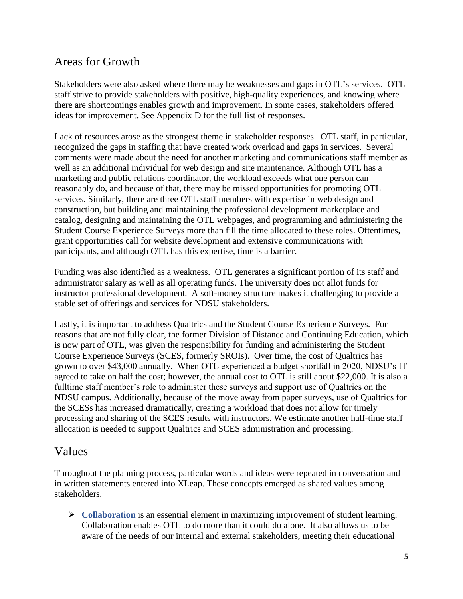## <span id="page-5-0"></span>Areas for Growth

Stakeholders were also asked where there may be weaknesses and gaps in OTL's services. OTL staff strive to provide stakeholders with positive, high-quality experiences, and knowing where there are shortcomings enables growth and improvement. In some cases, stakeholders offered ideas for improvement. See Appendix D for the full list of responses.

Lack of resources arose as the strongest theme in stakeholder responses. OTL staff, in particular, recognized the gaps in staffing that have created work overload and gaps in services. Several comments were made about the need for another marketing and communications staff member as well as an additional individual for web design and site maintenance. Although OTL has a marketing and public relations coordinator, the workload exceeds what one person can reasonably do, and because of that, there may be missed opportunities for promoting OTL services. Similarly, there are three OTL staff members with expertise in web design and construction, but building and maintaining the professional development marketplace and catalog, designing and maintaining the OTL webpages, and programming and administering the Student Course Experience Surveys more than fill the time allocated to these roles. Oftentimes, grant opportunities call for website development and extensive communications with participants, and although OTL has this expertise, time is a barrier.

Funding was also identified as a weakness. OTL generates a significant portion of its staff and administrator salary as well as all operating funds. The university does not allot funds for instructor professional development. A soft-money structure makes it challenging to provide a stable set of offerings and services for NDSU stakeholders.

Lastly, it is important to address Qualtrics and the Student Course Experience Surveys. For reasons that are not fully clear, the former Division of Distance and Continuing Education, which is now part of OTL, was given the responsibility for funding and administering the Student Course Experience Surveys (SCES, formerly SROIs). Over time, the cost of Qualtrics has grown to over \$43,000 annually. When OTL experienced a budget shortfall in 2020, NDSU's IT agreed to take on half the cost; however, the annual cost to OTL is still about \$22,000. It is also a fulltime staff member's role to administer these surveys and support use of Qualtrics on the NDSU campus. Additionally, because of the move away from paper surveys, use of Qualtrics for the SCESs has increased dramatically, creating a workload that does not allow for timely processing and sharing of the SCES results with instructors. We estimate another half-time staff allocation is needed to support Qualtrics and SCES administration and processing.

### <span id="page-5-1"></span>Values

Throughout the planning process, particular words and ideas were repeated in conversation and in written statements entered into XLeap. These concepts emerged as shared values among stakeholders.

➢ **Collaboration** is an essential element in maximizing improvement of student learning. Collaboration enables OTL to do more than it could do alone. It also allows us to be aware of the needs of our internal and external stakeholders, meeting their educational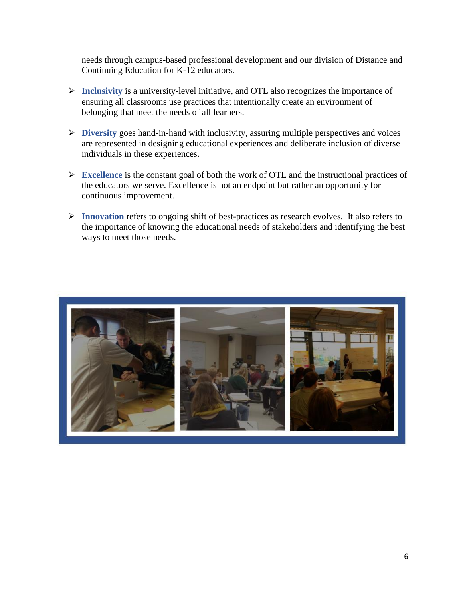needs through campus-based professional development and our division of Distance and Continuing Education for K-12 educators.

- ➢ **Inclusivity** is a university-level initiative, and OTL also recognizes the importance of ensuring all classrooms use practices that intentionally create an environment of belonging that meet the needs of all learners.
- ➢ **Diversity** goes hand-in-hand with inclusivity, assuring multiple perspectives and voices are represented in designing educational experiences and deliberate inclusion of diverse individuals in these experiences.
- ➢ **Excellence** is the constant goal of both the work of OTL and the instructional practices of the educators we serve. Excellence is not an endpoint but rather an opportunity for continuous improvement.
- ➢ **Innovation** refers to ongoing shift of best-practices as research evolves. It also refers to the importance of knowing the educational needs of stakeholders and identifying the best ways to meet those needs.

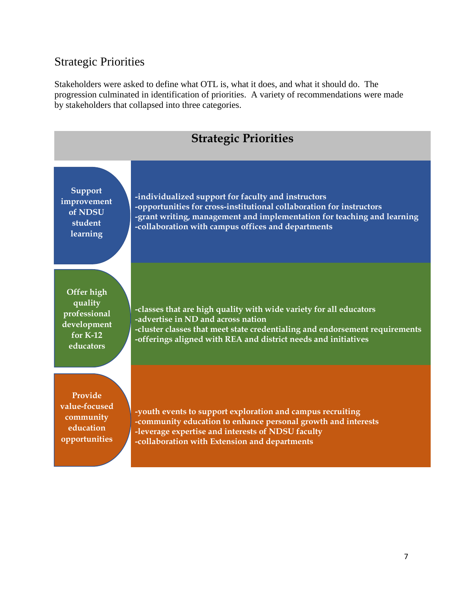## <span id="page-7-0"></span>Strategic Priorities

Stakeholders were asked to define what OTL is, what it does, and what it should do. The progression culminated in identification of priorities. A variety of recommendations were made by stakeholders that collapsed into three categories.

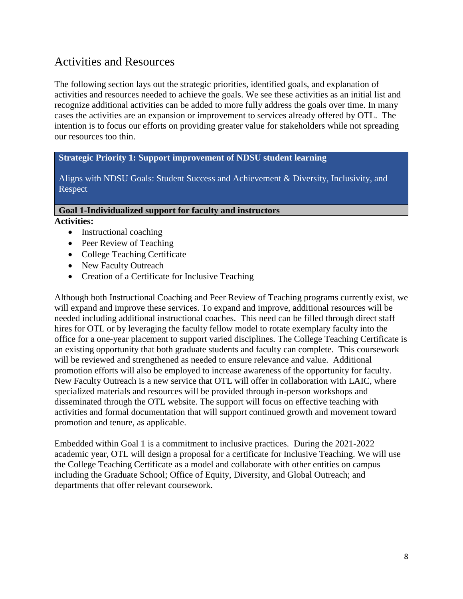## <span id="page-8-0"></span>Activities and Resources

The following section lays out the strategic priorities, identified goals, and explanation of activities and resources needed to achieve the goals. We see these activities as an initial list and recognize additional activities can be added to more fully address the goals over time. In many cases the activities are an expansion or improvement to services already offered by OTL. The intention is to focus our efforts on providing greater value for stakeholders while not spreading our resources too thin.

#### **Strategic Priority 1: Support improvement of NDSU student learning**

Aligns with NDSU Goals: Student Success and Achievement & Diversity, Inclusivity, and Respect

#### **Goal 1-Individualized support for faculty and instructors**

**Activities:** 

- Instructional coaching
- Peer Review of Teaching
- College Teaching Certificate
- New Faculty Outreach
- Creation of a Certificate for Inclusive Teaching

Although both Instructional Coaching and Peer Review of Teaching programs currently exist, we will expand and improve these services. To expand and improve, additional resources will be needed including additional instructional coaches. This need can be filled through direct staff hires for OTL or by leveraging the faculty fellow model to rotate exemplary faculty into the office for a one-year placement to support varied disciplines. The College Teaching Certificate is an existing opportunity that both graduate students and faculty can complete. This coursework will be reviewed and strengthened as needed to ensure relevance and value. Additional promotion efforts will also be employed to increase awareness of the opportunity for faculty. New Faculty Outreach is a new service that OTL will offer in collaboration with LAIC, where specialized materials and resources will be provided through in-person workshops and disseminated through the OTL website. The support will focus on effective teaching with activities and formal documentation that will support continued growth and movement toward promotion and tenure, as applicable.

Embedded within Goal 1 is a commitment to inclusive practices. During the 2021-2022 academic year, OTL will design a proposal for a certificate for Inclusive Teaching. We will use the College Teaching Certificate as a model and collaborate with other entities on campus including the Graduate School; Office of Equity, Diversity, and Global Outreach; and departments that offer relevant coursework.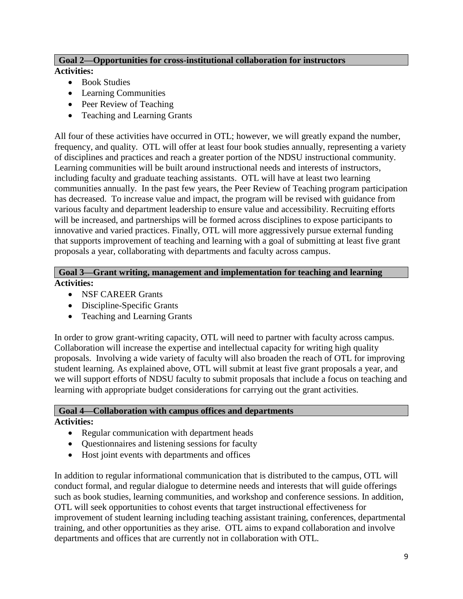#### **Goal 2—Opportunities for cross-institutional collaboration for instructors**

#### **Activities:**

- Book Studies
- Learning Communities
- Peer Review of Teaching
- Teaching and Learning Grants

All four of these activities have occurred in OTL; however, we will greatly expand the number, frequency, and quality. OTL will offer at least four book studies annually, representing a variety of disciplines and practices and reach a greater portion of the NDSU instructional community. Learning communities will be built around instructional needs and interests of instructors, including faculty and graduate teaching assistants. OTL will have at least two learning communities annually. In the past few years, the Peer Review of Teaching program participation has decreased. To increase value and impact, the program will be revised with guidance from various faculty and department leadership to ensure value and accessibility. Recruiting efforts will be increased, and partnerships will be formed across disciplines to expose participants to innovative and varied practices. Finally, OTL will more aggressively pursue external funding that supports improvement of teaching and learning with a goal of submitting at least five grant proposals a year, collaborating with departments and faculty across campus.

#### **Goal 3—Grant writing, management and implementation for teaching and learning Activities:**

- NSF CAREER Grants
- Discipline-Specific Grants
- Teaching and Learning Grants

In order to grow grant-writing capacity, OTL will need to partner with faculty across campus. Collaboration will increase the expertise and intellectual capacity for writing high quality proposals. Involving a wide variety of faculty will also broaden the reach of OTL for improving student learning. As explained above, OTL will submit at least five grant proposals a year, and we will support efforts of NDSU faculty to submit proposals that include a focus on teaching and learning with appropriate budget considerations for carrying out the grant activities.

#### **Goal 4—Collaboration with campus offices and departments Activities:**

- Regular communication with department heads
- Questionnaires and listening sessions for faculty
- Host joint events with departments and offices

In addition to regular informational communication that is distributed to the campus, OTL will conduct formal, and regular dialogue to determine needs and interests that will guide offerings such as book studies, learning communities, and workshop and conference sessions. In addition, OTL will seek opportunities to cohost events that target instructional effectiveness for improvement of student learning including teaching assistant training, conferences, departmental training, and other opportunities as they arise. OTL aims to expand collaboration and involve departments and offices that are currently not in collaboration with OTL.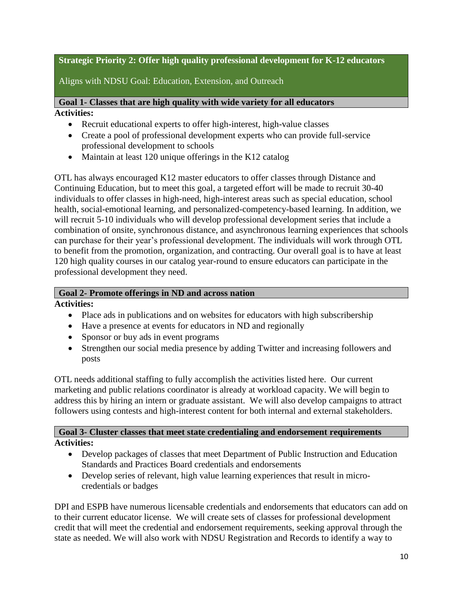#### **Strategic Priority 2: Offer high quality professional development for K-12 educators**

Aligns with NDSU Goal: Education, Extension, and Outreach

**Goal 1- Classes that are high quality with wide variety for all educators Activities:** 

- Recruit educational experts to offer high-interest, high-value classes
- Create a pool of professional development experts who can provide full-service professional development to schools
- Maintain at least 120 unique offerings in the K12 catalog

OTL has always encouraged K12 master educators to offer classes through Distance and Continuing Education, but to meet this goal, a targeted effort will be made to recruit 30-40 individuals to offer classes in high-need, high-interest areas such as special education, school health, social-emotional learning, and personalized-competency-based learning. In addition, we will recruit 5-10 individuals who will develop professional development series that include a combination of onsite, synchronous distance, and asynchronous learning experiences that schools can purchase for their year's professional development. The individuals will work through OTL to benefit from the promotion, organization, and contracting. Our overall goal is to have at least 120 high quality courses in our catalog year-round to ensure educators can participate in the professional development they need.

#### **Goal 2- Promote offerings in ND and across nation**

**Activities:**

- Place ads in publications and on websites for educators with high subscribership
- Have a presence at events for educators in ND and regionally
- Sponsor or buy ads in event programs
- Strengthen our social media presence by adding Twitter and increasing followers and posts

OTL needs additional staffing to fully accomplish the activities listed here. Our current marketing and public relations coordinator is already at workload capacity. We will begin to address this by hiring an intern or graduate assistant. We will also develop campaigns to attract followers using contests and high-interest content for both internal and external stakeholders.

#### **Goal 3- Cluster classes that meet state credentialing and endorsement requirements Activities:**

- Develop packages of classes that meet Department of Public Instruction and Education Standards and Practices Board credentials and endorsements
- Develop series of relevant, high value learning experiences that result in microcredentials or badges

DPI and ESPB have numerous licensable credentials and endorsements that educators can add on to their current educator license. We will create sets of classes for professional development credit that will meet the credential and endorsement requirements, seeking approval through the state as needed. We will also work with NDSU Registration and Records to identify a way to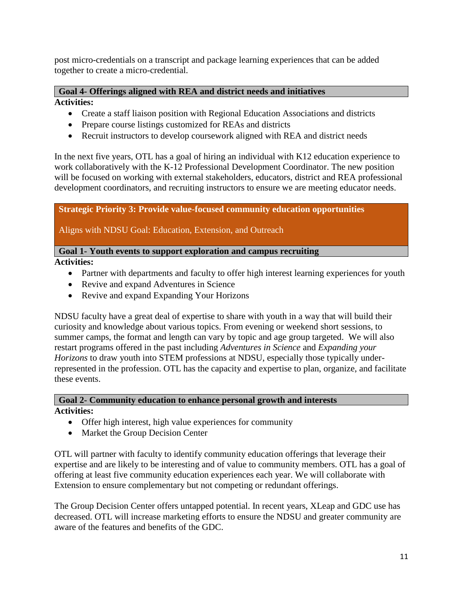post micro-credentials on a transcript and package learning experiences that can be added together to create a micro-credential.

#### **Goal 4- Offerings aligned with REA and district needs and initiatives**

**Activities:**

- Create a staff liaison position with Regional Education Associations and districts
- Prepare course listings customized for REAs and districts
- Recruit instructors to develop coursework aligned with REA and district needs

In the next five years, OTL has a goal of hiring an individual with K12 education experience to work collaboratively with the K-12 Professional Development Coordinator. The new position will be focused on working with external stakeholders, educators, district and REA professional development coordinators, and recruiting instructors to ensure we are meeting educator needs.

#### **Strategic Priority 3: Provide value-focused community education opportunities**

Aligns with NDSU Goal: Education, Extension, and Outreach

#### **Goal 1- Youth events to support exploration and campus recruiting**

**Activities:**

- Partner with departments and faculty to offer high interest learning experiences for youth
- Revive and expand Adventures in Science
- Revive and expand Expanding Your Horizons

NDSU faculty have a great deal of expertise to share with youth in a way that will build their curiosity and knowledge about various topics. From evening or weekend short sessions, to summer camps, the format and length can vary by topic and age group targeted. We will also restart programs offered in the past including *Adventures in Science* and *Expanding your Horizons* to draw youth into STEM professions at NDSU, especially those typically underrepresented in the profession. OTL has the capacity and expertise to plan, organize, and facilitate these events.

#### **Goal 2- Community education to enhance personal growth and interests Activities:**

- Offer high interest, high value experiences for community
- Market the Group Decision Center

OTL will partner with faculty to identify community education offerings that leverage their expertise and are likely to be interesting and of value to community members. OTL has a goal of offering at least five community education experiences each year. We will collaborate with Extension to ensure complementary but not competing or redundant offerings.

The Group Decision Center offers untapped potential. In recent years, XLeap and GDC use has decreased. OTL will increase marketing efforts to ensure the NDSU and greater community are aware of the features and benefits of the GDC.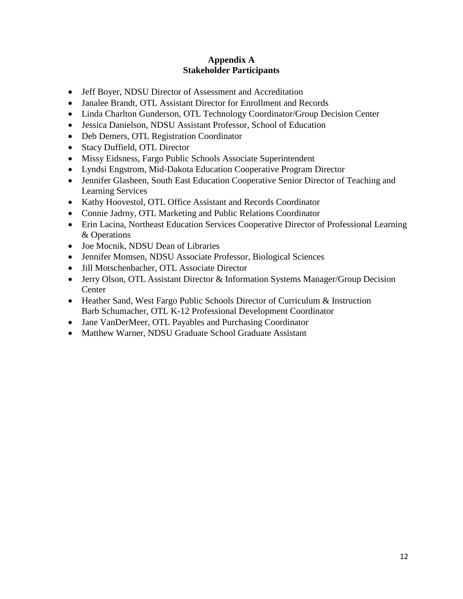#### **Appendix A Stakeholder Participants**

- <span id="page-12-1"></span><span id="page-12-0"></span>• Jeff Boyer, NDSU Director of Assessment and Accreditation
- Janalee Brandt, OTL Assistant Director for Enrollment and Records
- Linda Charlton Gunderson, OTL Technology Coordinator/Group Decision Center
- Jessica Danielson, NDSU Assistant Professor, School of Education
- Deb Demers, OTL Registration Coordinator
- Stacy Duffield, OTL Director
- Missy Eidsness, Fargo Public Schools Associate Superintendent
- Lyndsi Engstrom, Mid-Dakota Education Cooperative Program Director
- Jennifer Glasheen, South East Education Cooperative Senior Director of Teaching and Learning Services
- Kathy Hoovestol, OTL Office Assistant and Records Coordinator
- Connie Jadrny, OTL Marketing and Public Relations Coordinator
- Erin Lacina, Northeast Education Services Cooperative Director of Professional Learning & Operations
- Joe Mocnik, NDSU Dean of Libraries
- Jennifer Momsen, NDSU Associate Professor, Biological Sciences
- Jill Motschenbacher, OTL Associate Director
- Jerry Olson, OTL Assistant Director & Information Systems Manager/Group Decision **Center**
- Heather Sand, West Fargo Public Schools Director of Curriculum & Instruction Barb Schumacher, OTL K-12 Professional Development Coordinator
- Jane VanDerMeer, OTL Payables and Purchasing Coordinator
- Matthew Warner, NDSU Graduate School Graduate Assistant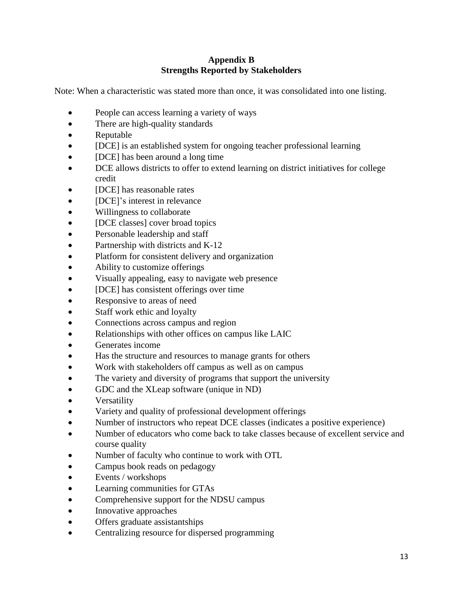#### **Appendix B Strengths Reported by Stakeholders**

<span id="page-13-1"></span><span id="page-13-0"></span>Note: When a characteristic was stated more than once, it was consolidated into one listing.

- People can access learning a variety of ways
- There are high-quality standards
- Reputable
- [DCE] is an established system for ongoing teacher professional learning
- **[DCE]** has been around a long time
- DCE allows districts to offer to extend learning on district initiatives for college credit
- [DCE] has reasonable rates
- **[DCE]**'s interest in relevance
- Willingness to collaborate
- **[DCE classes] cover broad topics**
- Personable leadership and staff
- Partnership with districts and K-12
- Platform for consistent delivery and organization
- Ability to customize offerings
- Visually appealing, easy to navigate web presence
- [DCE] has consistent offerings over time
- Responsive to areas of need
- Staff work ethic and loyalty
- Connections across campus and region
- Relationships with other offices on campus like LAIC
- Generates income
- Has the structure and resources to manage grants for others
- Work with stakeholders off campus as well as on campus
- The variety and diversity of programs that support the university
- GDC and the XLeap software (unique in ND)
- **Versatility**
- Variety and quality of professional development offerings
- Number of instructors who repeat DCE classes (indicates a positive experience)
- Number of educators who come back to take classes because of excellent service and course quality
- Number of faculty who continue to work with OTL
- Campus book reads on pedagogy
- Events / workshops
- Learning communities for GTAs
- Comprehensive support for the NDSU campus
- Innovative approaches
- Offers graduate assistantships
- Centralizing resource for dispersed programming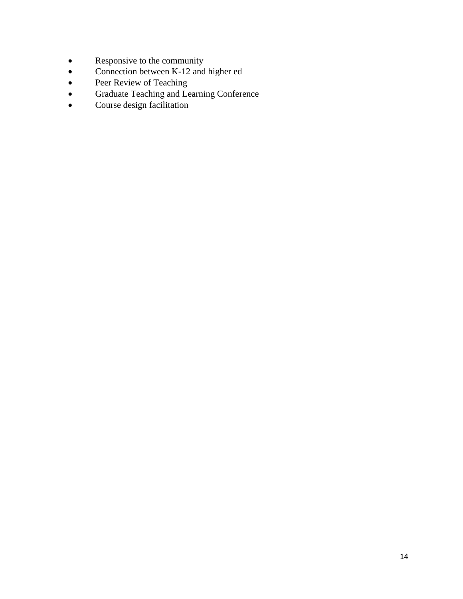- Responsive to the community<br>• Connection between K-12 and
- Connection between K-12 and higher ed
- Peer Review of Teaching
- Graduate Teaching and Learning Conference
- Course design facilitation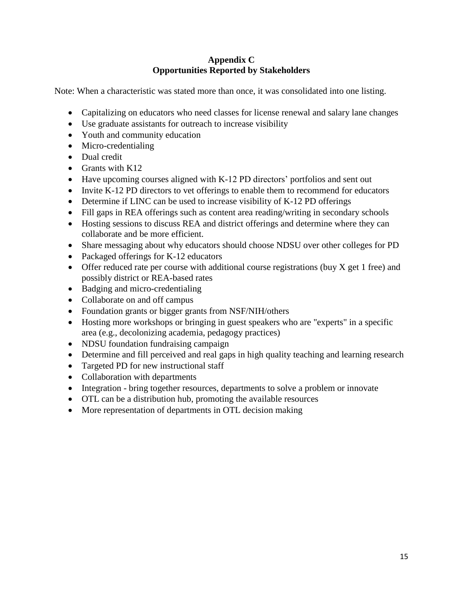#### **Appendix C Opportunities Reported by Stakeholders**

<span id="page-15-1"></span><span id="page-15-0"></span>Note: When a characteristic was stated more than once, it was consolidated into one listing.

- Capitalizing on educators who need classes for license renewal and salary lane changes
- Use graduate assistants for outreach to increase visibility
- Youth and community education
- Micro-credentialing
- Dual credit
- Grants with K12
- Have upcoming courses aligned with K-12 PD directors' portfolios and sent out
- Invite K-12 PD directors to vet offerings to enable them to recommend for educators
- Determine if LINC can be used to increase visibility of K-12 PD offerings
- Fill gaps in REA offerings such as content area reading/writing in secondary schools
- Hosting sessions to discuss REA and district offerings and determine where they can collaborate and be more efficient.
- Share messaging about why educators should choose NDSU over other colleges for PD
- Packaged offerings for K-12 educators
- Offer reduced rate per course with additional course registrations (buy X get 1 free) and possibly district or REA-based rates
- Badging and micro-credentialing
- Collaborate on and off campus
- Foundation grants or bigger grants from NSF/NIH/others
- Hosting more workshops or bringing in guest speakers who are "experts" in a specific area (e.g., decolonizing academia, pedagogy practices)
- NDSU foundation fundraising campaign
- Determine and fill perceived and real gaps in high quality teaching and learning research
- Targeted PD for new instructional staff
- Collaboration with departments
- Integration bring together resources, departments to solve a problem or innovate
- OTL can be a distribution hub, promoting the available resources
- More representation of departments in OTL decision making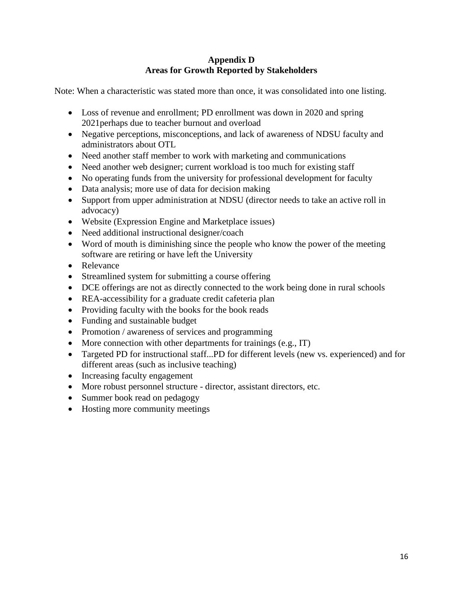#### **Appendix D Areas for Growth Reported by Stakeholders**

<span id="page-16-1"></span><span id="page-16-0"></span>Note: When a characteristic was stated more than once, it was consolidated into one listing.

- Loss of revenue and enrollment; PD enrollment was down in 2020 and spring 2021perhaps due to teacher burnout and overload
- Negative perceptions, misconceptions, and lack of awareness of NDSU faculty and administrators about OTL
- Need another staff member to work with marketing and communications
- Need another web designer; current workload is too much for existing staff
- No operating funds from the university for professional development for faculty
- Data analysis; more use of data for decision making
- Support from upper administration at NDSU (director needs to take an active roll in advocacy)
- Website (Expression Engine and Marketplace issues)
- Need additional instructional designer/coach
- Word of mouth is diminishing since the people who know the power of the meeting software are retiring or have left the University
- Relevance
- Streamlined system for submitting a course offering
- DCE offerings are not as directly connected to the work being done in rural schools
- REA-accessibility for a graduate credit cafeteria plan
- Providing faculty with the books for the book reads
- Funding and sustainable budget
- Promotion / awareness of services and programming
- More connection with other departments for trainings (e.g., IT)
- Targeted PD for instructional staff...PD for different levels (new vs. experienced) and for different areas (such as inclusive teaching)
- Increasing faculty engagement
- More robust personnel structure director, assistant directors, etc.
- Summer book read on pedagogy
- Hosting more community meetings